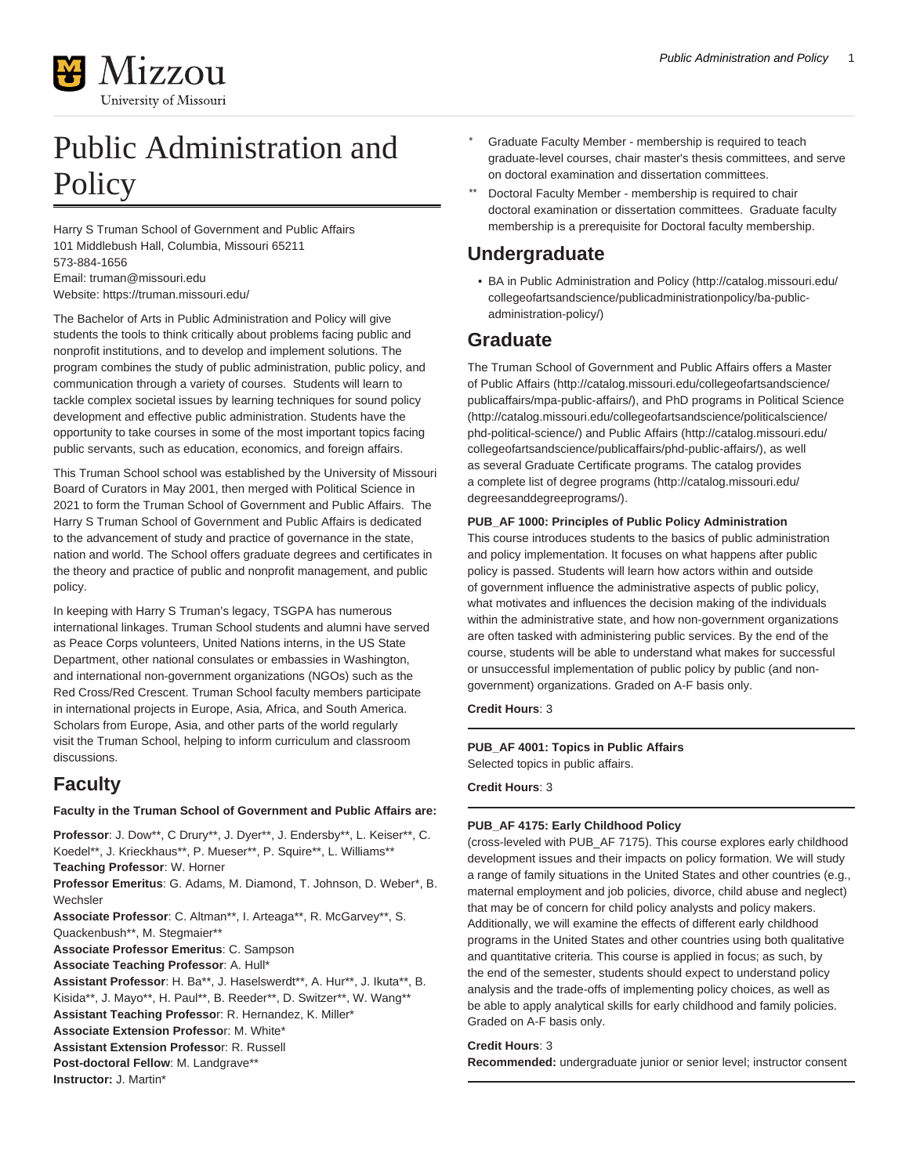

# Public Administration and **Policy**

Harry S Truman School of Government and Public Affairs 101 Middlebush Hall, Columbia, Missouri 65211 573-884-1656 Email: [truman@missouri.edu](mailto:truman@missouri.edu) Website:<https://truman.missouri.edu/>

The Bachelor of Arts in Public Administration and Policy will give students the tools to think critically about problems facing public and nonprofit institutions, and to develop and implement solutions. The program combines the study of public administration, public policy, and communication through a variety of courses. Students will learn to tackle complex societal issues by learning techniques for sound policy development and effective public administration. Students have the opportunity to take courses in some of the most important topics facing public servants, such as education, economics, and foreign affairs.

This Truman School school was established by the University of Missouri Board of Curators in May 2001, then merged with Political Science in 2021 to form the Truman School of Government and Public Affairs. The Harry S Truman School of Government and Public Affairs is dedicated to the advancement of study and practice of governance in the state, nation and world. The School offers graduate degrees and certificates in the theory and practice of public and nonprofit management, and public policy.

In keeping with Harry S Truman's legacy, TSGPA has numerous international linkages. Truman School students and alumni have served as Peace Corps volunteers, United Nations interns, in the US State Department, other national consulates or embassies in Washington, and international non-government organizations (NGOs) such as the Red Cross/Red Crescent. Truman School faculty members participate in international projects in Europe, Asia, Africa, and South America. Scholars from Europe, Asia, and other parts of the world regularly visit the Truman School, helping to inform curriculum and classroom discussions.

## **Faculty**

#### **Faculty in the Truman School of Government and Public Affairs are:**

**Professor**: J. Dow\*\*, C Drury\*\*, J. Dyer\*\*, J. Endersby\*\*, L. Keiser\*\*, C. Koedel\*\*, J. Krieckhaus\*\*, P. Mueser\*\*, P. Squire\*\*, L. Williams\*\* **Teaching Professor**: W. Horner

**Professor Emeritus**: G. Adams, M. Diamond, T. Johnson, D. Weber\*, B. Wechsler

**Associate Professor**: C. Altman\*\*, I. Arteaga\*\*, R. McGarvey\*\*, S. Quackenbush\*\*, M. Stegmaier\*\*

**Associate Professor Emeritus**: C. Sampson

**Associate Teaching Professor**: A. Hull\*

**Assistant Professor**: H. Ba\*\*, J. Haselswerdt\*\*, A. Hur\*\*, J. Ikuta\*\*, B. Kisida\*\*, J. Mayo\*\*, H. Paul\*\*, B. Reeder\*\*, D. Switzer\*\*, W. Wang\*\* **Assistant Teaching Professo**r: R. Hernandez, K. Miller\*

**Associate Extension Professo**r: M. White\*

**Assistant Extension Professo**r: R. Russell

Post-doctoral Fellow: M. Landgrave\*\*

**Instructor:** J. Martin\*

- Graduate Faculty Member membership is required to teach graduate-level courses, chair master's thesis committees, and serve on doctoral examination and dissertation committees.
- Doctoral Faculty Member membership is required to chair doctoral examination or dissertation committees. Graduate faculty membership is a prerequisite for Doctoral faculty membership.

## **Undergraduate**

• [BA in Public Administration and Policy](http://catalog.missouri.edu/collegeofartsandscience/publicadministrationpolicy/ba-public-administration-policy/) [\(http://catalog.missouri.edu/](http://catalog.missouri.edu/collegeofartsandscience/publicadministrationpolicy/ba-public-administration-policy/) [collegeofartsandscience/publicadministrationpolicy/ba-public](http://catalog.missouri.edu/collegeofartsandscience/publicadministrationpolicy/ba-public-administration-policy/)[administration-policy/](http://catalog.missouri.edu/collegeofartsandscience/publicadministrationpolicy/ba-public-administration-policy/))

### **Graduate**

The Truman School of Government and Public Affairs offers a [Master](http://catalog.missouri.edu/collegeofartsandscience/publicaffairs/mpa-public-affairs/) [of Public Affairs \(http://catalog.missouri.edu/collegeofartsandscience/](http://catalog.missouri.edu/collegeofartsandscience/publicaffairs/mpa-public-affairs/) [publicaffairs/mpa-public-affairs/\)](http://catalog.missouri.edu/collegeofartsandscience/publicaffairs/mpa-public-affairs/), and PhD programs in [Political Science](http://catalog.missouri.edu/collegeofartsandscience/politicalscience/phd-political-science/) ([http://catalog.missouri.edu/collegeofartsandscience/politicalscience/](http://catalog.missouri.edu/collegeofartsandscience/politicalscience/phd-political-science/) [phd-political-science/\)](http://catalog.missouri.edu/collegeofartsandscience/politicalscience/phd-political-science/) and [Public Affairs](http://catalog.missouri.edu/collegeofartsandscience/publicaffairs/phd-public-affairs/) ([http://catalog.missouri.edu/](http://catalog.missouri.edu/collegeofartsandscience/publicaffairs/phd-public-affairs/) [collegeofartsandscience/publicaffairs/phd-public-affairs/\)](http://catalog.missouri.edu/collegeofartsandscience/publicaffairs/phd-public-affairs/), as well as several Graduate Certificate programs. The catalog provides a complete list of [degree programs](http://catalog.missouri.edu/degreesanddegreeprograms/) [\(http://catalog.missouri.edu/](http://catalog.missouri.edu/degreesanddegreeprograms/) [degreesanddegreeprograms/](http://catalog.missouri.edu/degreesanddegreeprograms/)).

#### **PUB\_AF 1000: Principles of Public Policy Administration**

This course introduces students to the basics of public administration and policy implementation. It focuses on what happens after public policy is passed. Students will learn how actors within and outside of government influence the administrative aspects of public policy, what motivates and influences the decision making of the individuals within the administrative state, and how non-government organizations are often tasked with administering public services. By the end of the course, students will be able to understand what makes for successful or unsuccessful implementation of public policy by public (and nongovernment) organizations. Graded on A-F basis only.

#### **Credit Hours**: 3

#### **PUB\_AF 4001: Topics in Public Affairs** Selected topics in public affairs.

**Credit Hours**: 3

### **PUB\_AF 4175: Early Childhood Policy**

(cross-leveled with PUB\_AF 7175). This course explores early childhood development issues and their impacts on policy formation. We will study a range of family situations in the United States and other countries (e.g., maternal employment and job policies, divorce, child abuse and neglect) that may be of concern for child policy analysts and policy makers. Additionally, we will examine the effects of different early childhood programs in the United States and other countries using both qualitative and quantitative criteria. This course is applied in focus; as such, by the end of the semester, students should expect to understand policy analysis and the trade-offs of implementing policy choices, as well as be able to apply analytical skills for early childhood and family policies. Graded on A-F basis only.

#### **Credit Hours**: 3

**Recommended:** undergraduate junior or senior level; instructor consent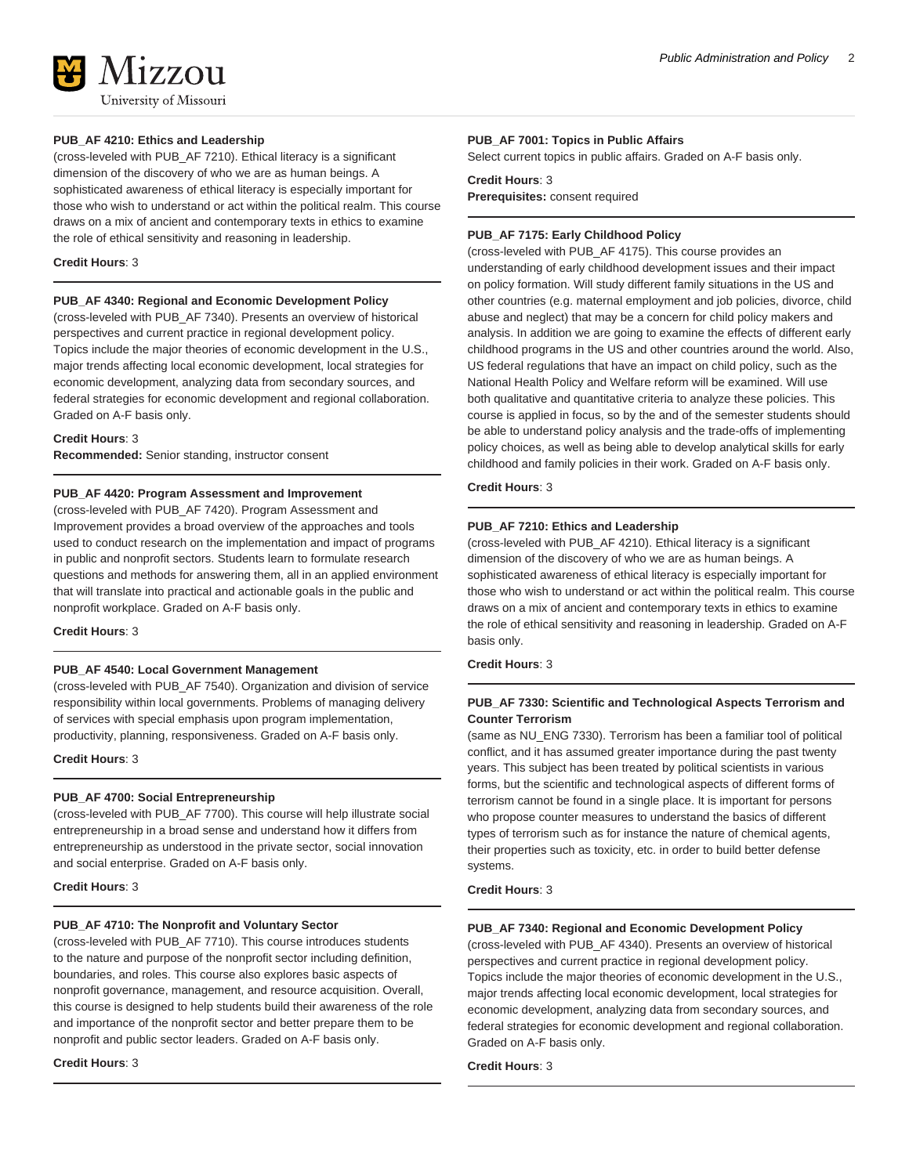

#### **PUB\_AF 4210: Ethics and Leadership**

(cross-leveled with PUB\_AF 7210). Ethical literacy is a significant dimension of the discovery of who we are as human beings. A sophisticated awareness of ethical literacy is especially important for those who wish to understand or act within the political realm. This course draws on a mix of ancient and contemporary texts in ethics to examine the role of ethical sensitivity and reasoning in leadership.

#### **Credit Hours**: 3

#### **PUB\_AF 4340: Regional and Economic Development Policy**

(cross-leveled with PUB\_AF 7340). Presents an overview of historical perspectives and current practice in regional development policy. Topics include the major theories of economic development in the U.S., major trends affecting local economic development, local strategies for economic development, analyzing data from secondary sources, and federal strategies for economic development and regional collaboration. Graded on A-F basis only.

#### **Credit Hours**: 3

**Recommended:** Senior standing, instructor consent

#### **PUB\_AF 4420: Program Assessment and Improvement**

(cross-leveled with PUB\_AF 7420). Program Assessment and Improvement provides a broad overview of the approaches and tools used to conduct research on the implementation and impact of programs in public and nonprofit sectors. Students learn to formulate research questions and methods for answering them, all in an applied environment that will translate into practical and actionable goals in the public and nonprofit workplace. Graded on A-F basis only.

#### **Credit Hours**: 3

#### **PUB\_AF 4540: Local Government Management**

(cross-leveled with PUB\_AF 7540). Organization and division of service responsibility within local governments. Problems of managing delivery of services with special emphasis upon program implementation, productivity, planning, responsiveness. Graded on A-F basis only.

#### **Credit Hours**: 3

#### **PUB\_AF 4700: Social Entrepreneurship**

(cross-leveled with PUB\_AF 7700). This course will help illustrate social entrepreneurship in a broad sense and understand how it differs from entrepreneurship as understood in the private sector, social innovation and social enterprise. Graded on A-F basis only.

#### **Credit Hours**: 3

#### **PUB\_AF 4710: The Nonprofit and Voluntary Sector**

(cross-leveled with PUB\_AF 7710). This course introduces students to the nature and purpose of the nonprofit sector including definition, boundaries, and roles. This course also explores basic aspects of nonprofit governance, management, and resource acquisition. Overall, this course is designed to help students build their awareness of the role and importance of the nonprofit sector and better prepare them to be nonprofit and public sector leaders. Graded on A-F basis only.

#### **Credit Hours**: 3

#### **PUB\_AF 7001: Topics in Public Affairs**

Select current topics in public affairs. Graded on A-F basis only.

#### **Credit Hours**: 3 **Prerequisites:** consent required

**PUB\_AF 7175: Early Childhood Policy** (cross-leveled with PUB\_AF 4175). This course provides an understanding of early childhood development issues and their impact on policy formation. Will study different family situations in the US and other countries (e.g. maternal employment and job policies, divorce, child abuse and neglect) that may be a concern for child policy makers and analysis. In addition we are going to examine the effects of different early childhood programs in the US and other countries around the world. Also, US federal regulations that have an impact on child policy, such as the National Health Policy and Welfare reform will be examined. Will use both qualitative and quantitative criteria to analyze these policies. This course is applied in focus, so by the and of the semester students should be able to understand policy analysis and the trade-offs of implementing policy choices, as well as being able to develop analytical skills for early childhood and family policies in their work. Graded on A-F basis only.

#### **Credit Hours**: 3

#### **PUB\_AF 7210: Ethics and Leadership**

(cross-leveled with PUB\_AF 4210). Ethical literacy is a significant dimension of the discovery of who we are as human beings. A sophisticated awareness of ethical literacy is especially important for those who wish to understand or act within the political realm. This course draws on a mix of ancient and contemporary texts in ethics to examine the role of ethical sensitivity and reasoning in leadership. Graded on A-F basis only.

#### **Credit Hours**: 3

#### **PUB\_AF 7330: Scientific and Technological Aspects Terrorism and Counter Terrorism**

(same as NU\_ENG 7330). Terrorism has been a familiar tool of political conflict, and it has assumed greater importance during the past twenty years. This subject has been treated by political scientists in various forms, but the scientific and technological aspects of different forms of terrorism cannot be found in a single place. It is important for persons who propose counter measures to understand the basics of different types of terrorism such as for instance the nature of chemical agents, their properties such as toxicity, etc. in order to build better defense systems.

#### **Credit Hours**: 3

#### **PUB\_AF 7340: Regional and Economic Development Policy**

(cross-leveled with PUB\_AF 4340). Presents an overview of historical perspectives and current practice in regional development policy. Topics include the major theories of economic development in the U.S., major trends affecting local economic development, local strategies for economic development, analyzing data from secondary sources, and federal strategies for economic development and regional collaboration. Graded on A-F basis only.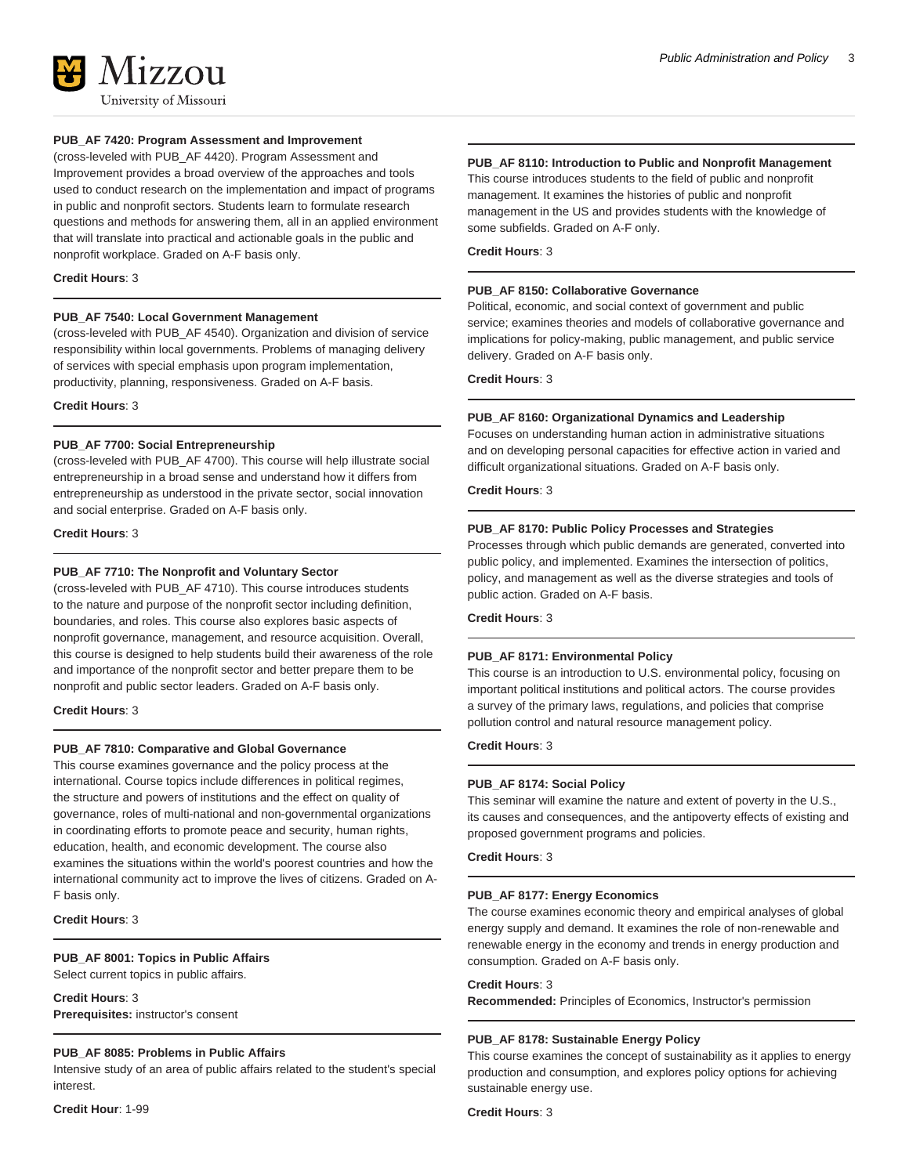

#### **PUB\_AF 7420: Program Assessment and Improvement**

(cross-leveled with PUB\_AF 4420). Program Assessment and Improvement provides a broad overview of the approaches and tools used to conduct research on the implementation and impact of programs in public and nonprofit sectors. Students learn to formulate research questions and methods for answering them, all in an applied environment that will translate into practical and actionable goals in the public and nonprofit workplace. Graded on A-F basis only.

#### **Credit Hours**: 3

#### **PUB\_AF 7540: Local Government Management**

(cross-leveled with PUB\_AF 4540). Organization and division of service responsibility within local governments. Problems of managing delivery of services with special emphasis upon program implementation, productivity, planning, responsiveness. Graded on A-F basis.

**Credit Hours**: 3

#### **PUB\_AF 7700: Social Entrepreneurship**

(cross-leveled with PUB\_AF 4700). This course will help illustrate social entrepreneurship in a broad sense and understand how it differs from entrepreneurship as understood in the private sector, social innovation and social enterprise. Graded on A-F basis only.

**Credit Hours**: 3

#### **PUB\_AF 7710: The Nonprofit and Voluntary Sector**

(cross-leveled with PUB\_AF 4710). This course introduces students to the nature and purpose of the nonprofit sector including definition, boundaries, and roles. This course also explores basic aspects of nonprofit governance, management, and resource acquisition. Overall, this course is designed to help students build their awareness of the role and importance of the nonprofit sector and better prepare them to be nonprofit and public sector leaders. Graded on A-F basis only.

#### **Credit Hours**: 3

#### **PUB\_AF 7810: Comparative and Global Governance**

This course examines governance and the policy process at the international. Course topics include differences in political regimes, the structure and powers of institutions and the effect on quality of governance, roles of multi-national and non-governmental organizations in coordinating efforts to promote peace and security, human rights, education, health, and economic development. The course also examines the situations within the world's poorest countries and how the international community act to improve the lives of citizens. Graded on A-F basis only.

#### **Credit Hours**: 3

#### **PUB\_AF 8001: Topics in Public Affairs** Select current topics in public affairs.

**Credit Hours**: 3 **Prerequisites:** instructor's consent

#### **PUB\_AF 8085: Problems in Public Affairs**

Intensive study of an area of public affairs related to the student's special interest.

**Credit Hour**: 1-99

#### **PUB\_AF 8110: Introduction to Public and Nonprofit Management**

This course introduces students to the field of public and nonprofit management. It examines the histories of public and nonprofit management in the US and provides students with the knowledge of some subfields. Graded on A-F only.

**Credit Hours**: 3

#### **PUB\_AF 8150: Collaborative Governance**

Political, economic, and social context of government and public service; examines theories and models of collaborative governance and implications for policy-making, public management, and public service delivery. Graded on A-F basis only.

**Credit Hours**: 3

#### **PUB\_AF 8160: Organizational Dynamics and Leadership**

Focuses on understanding human action in administrative situations and on developing personal capacities for effective action in varied and difficult organizational situations. Graded on A-F basis only.

#### **Credit Hours**: 3

#### **PUB\_AF 8170: Public Policy Processes and Strategies**

Processes through which public demands are generated, converted into public policy, and implemented. Examines the intersection of politics, policy, and management as well as the diverse strategies and tools of public action. Graded on A-F basis.

**Credit Hours**: 3

#### **PUB\_AF 8171: Environmental Policy**

This course is an introduction to U.S. environmental policy, focusing on important political institutions and political actors. The course provides a survey of the primary laws, regulations, and policies that comprise pollution control and natural resource management policy.

#### **Credit Hours**: 3

#### **PUB\_AF 8174: Social Policy**

This seminar will examine the nature and extent of poverty in the U.S., its causes and consequences, and the antipoverty effects of existing and proposed government programs and policies.

#### **Credit Hours**: 3

#### **PUB\_AF 8177: Energy Economics**

The course examines economic theory and empirical analyses of global energy supply and demand. It examines the role of non-renewable and renewable energy in the economy and trends in energy production and consumption. Graded on A-F basis only.

#### **Credit Hours**: 3

**Recommended:** Principles of Economics, Instructor's permission

#### **PUB\_AF 8178: Sustainable Energy Policy**

This course examines the concept of sustainability as it applies to energy production and consumption, and explores policy options for achieving sustainable energy use.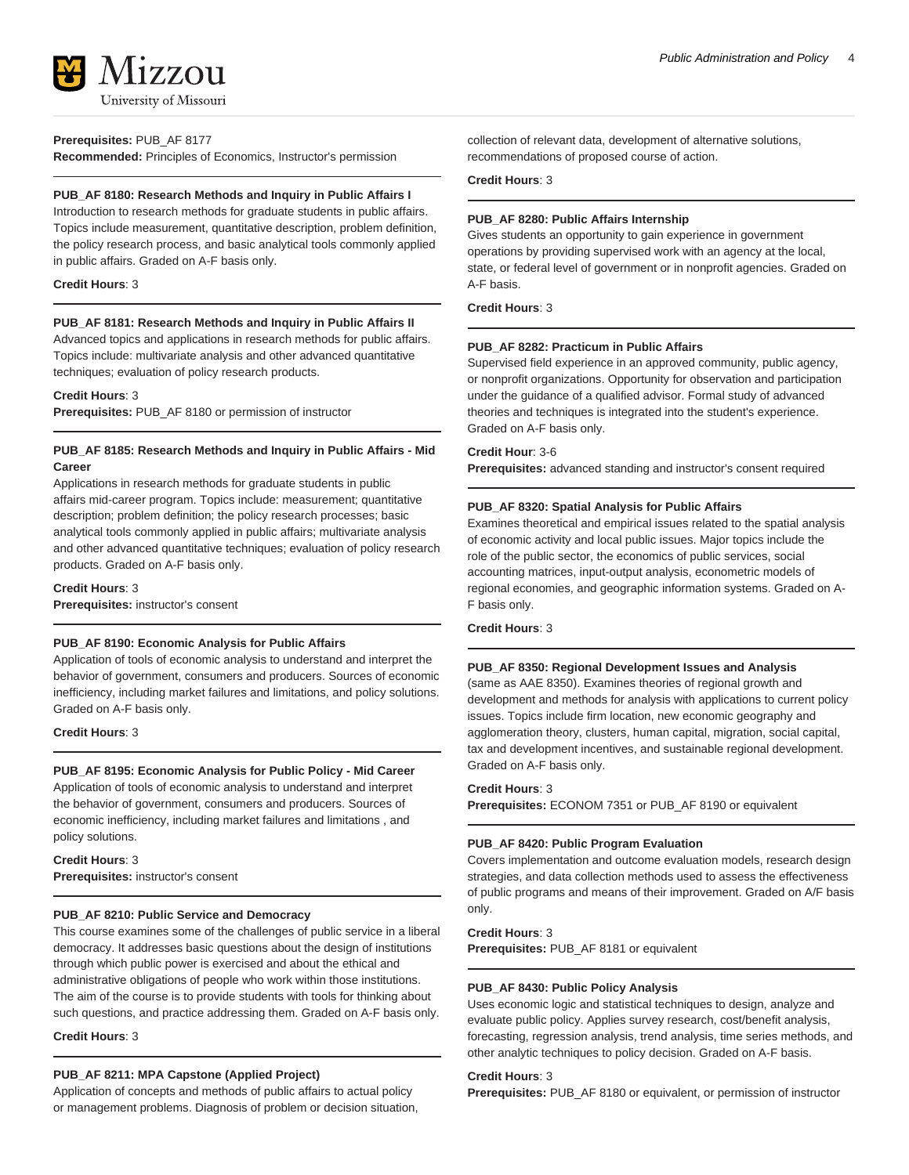

#### **Prerequisites:** PUB\_AF 8177

**Recommended:** Principles of Economics, Instructor's permission

#### **PUB\_AF 8180: Research Methods and Inquiry in Public Affairs I**

Introduction to research methods for graduate students in public affairs. Topics include measurement, quantitative description, problem definition, the policy research process, and basic analytical tools commonly applied in public affairs. Graded on A-F basis only.

#### **Credit Hours**: 3

#### **PUB\_AF 8181: Research Methods and Inquiry in Public Affairs II**

Advanced topics and applications in research methods for public affairs. Topics include: multivariate analysis and other advanced quantitative techniques; evaluation of policy research products.

#### **Credit Hours**: 3

**Prerequisites:** PUB\_AF 8180 or permission of instructor

#### **PUB\_AF 8185: Research Methods and Inquiry in Public Affairs - Mid Career**

Applications in research methods for graduate students in public affairs mid-career program. Topics include: measurement; quantitative description; problem definition; the policy research processes; basic analytical tools commonly applied in public affairs; multivariate analysis and other advanced quantitative techniques; evaluation of policy research products. Graded on A-F basis only.

#### **Credit Hours**: 3

**Prerequisites:** instructor's consent

#### **PUB\_AF 8190: Economic Analysis for Public Affairs**

Application of tools of economic analysis to understand and interpret the behavior of government, consumers and producers. Sources of economic inefficiency, including market failures and limitations, and policy solutions. Graded on A-F basis only.

**Credit Hours**: 3

#### **PUB\_AF 8195: Economic Analysis for Public Policy - Mid Career**

Application of tools of economic analysis to understand and interpret the behavior of government, consumers and producers. Sources of economic inefficiency, including market failures and limitations , and policy solutions.

**Credit Hours**: 3 **Prerequisites:** instructor's consent

#### **PUB\_AF 8210: Public Service and Democracy**

This course examines some of the challenges of public service in a liberal democracy. It addresses basic questions about the design of institutions through which public power is exercised and about the ethical and administrative obligations of people who work within those institutions. The aim of the course is to provide students with tools for thinking about such questions, and practice addressing them. Graded on A-F basis only.

#### **Credit Hours**: 3

#### **PUB\_AF 8211: MPA Capstone (Applied Project)**

Application of concepts and methods of public affairs to actual policy or management problems. Diagnosis of problem or decision situation, collection of relevant data, development of alternative solutions, recommendations of proposed course of action.

#### **Credit Hours**: 3

#### **PUB\_AF 8280: Public Affairs Internship**

Gives students an opportunity to gain experience in government operations by providing supervised work with an agency at the local, state, or federal level of government or in nonprofit agencies. Graded on A-F basis.

**Credit Hours**: 3

#### **PUB\_AF 8282: Practicum in Public Affairs**

Supervised field experience in an approved community, public agency, or nonprofit organizations. Opportunity for observation and participation under the guidance of a qualified advisor. Formal study of advanced theories and techniques is integrated into the student's experience. Graded on A-F basis only.

#### **Credit Hour**: 3-6

**Prerequisites:** advanced standing and instructor's consent required

#### **PUB\_AF 8320: Spatial Analysis for Public Affairs**

Examines theoretical and empirical issues related to the spatial analysis of economic activity and local public issues. Major topics include the role of the public sector, the economics of public services, social accounting matrices, input-output analysis, econometric models of regional economies, and geographic information systems. Graded on A-F basis only.

#### **Credit Hours**: 3

#### **PUB\_AF 8350: Regional Development Issues and Analysis**

(same as AAE 8350). Examines theories of regional growth and development and methods for analysis with applications to current policy issues. Topics include firm location, new economic geography and agglomeration theory, clusters, human capital, migration, social capital, tax and development incentives, and sustainable regional development. Graded on A-F basis only.

#### **Credit Hours**: 3

**Prerequisites:** ECONOM 7351 or PUB\_AF 8190 or equivalent

#### **PUB\_AF 8420: Public Program Evaluation**

Covers implementation and outcome evaluation models, research design strategies, and data collection methods used to assess the effectiveness of public programs and means of their improvement. Graded on A/F basis only.

#### **Credit Hours**: 3

**Prerequisites:** PUB\_AF 8181 or equivalent

#### **PUB\_AF 8430: Public Policy Analysis**

Uses economic logic and statistical techniques to design, analyze and evaluate public policy. Applies survey research, cost/benefit analysis, forecasting, regression analysis, trend analysis, time series methods, and other analytic techniques to policy decision. Graded on A-F basis.

#### **Credit Hours**: 3

**Prerequisites:** PUB\_AF 8180 or equivalent, or permission of instructor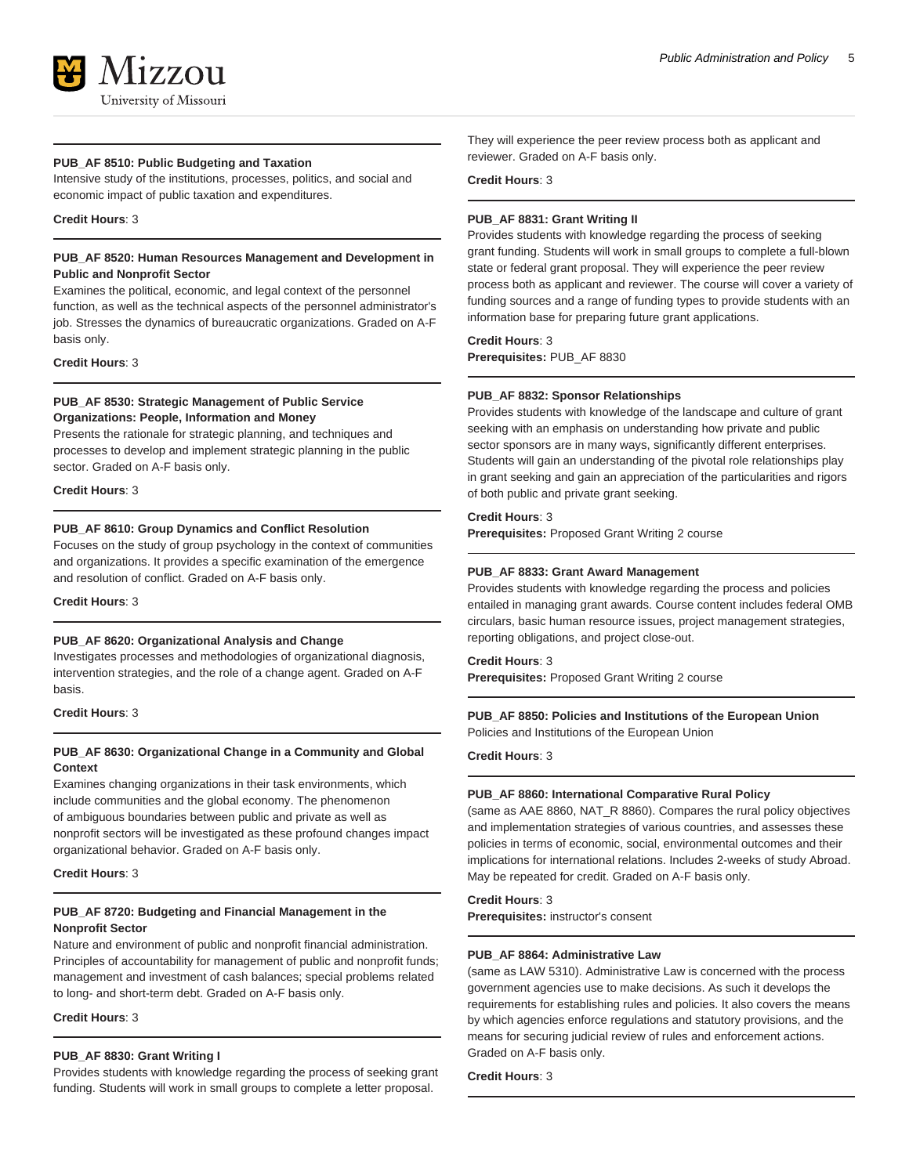

#### **PUB\_AF 8510: Public Budgeting and Taxation**

Intensive study of the institutions, processes, politics, and social and economic impact of public taxation and expenditures.

#### **Credit Hours**: 3

#### **PUB\_AF 8520: Human Resources Management and Development in Public and Nonprofit Sector**

Examines the political, economic, and legal context of the personnel function, as well as the technical aspects of the personnel administrator's job. Stresses the dynamics of bureaucratic organizations. Graded on A-F basis only.

#### **Credit Hours**: 3

#### **PUB\_AF 8530: Strategic Management of Public Service Organizations: People, Information and Money**

Presents the rationale for strategic planning, and techniques and processes to develop and implement strategic planning in the public sector. Graded on A-F basis only.

#### **Credit Hours**: 3

#### **PUB\_AF 8610: Group Dynamics and Conflict Resolution**

Focuses on the study of group psychology in the context of communities and organizations. It provides a specific examination of the emergence and resolution of conflict. Graded on A-F basis only.

**Credit Hours**: 3

#### **PUB\_AF 8620: Organizational Analysis and Change**

Investigates processes and methodologies of organizational diagnosis, intervention strategies, and the role of a change agent. Graded on A-F basis.

#### **Credit Hours**: 3

#### **PUB\_AF 8630: Organizational Change in a Community and Global Context**

Examines changing organizations in their task environments, which include communities and the global economy. The phenomenon of ambiguous boundaries between public and private as well as nonprofit sectors will be investigated as these profound changes impact organizational behavior. Graded on A-F basis only.

**Credit Hours**: 3

#### **PUB\_AF 8720: Budgeting and Financial Management in the Nonprofit Sector**

Nature and environment of public and nonprofit financial administration. Principles of accountability for management of public and nonprofit funds; management and investment of cash balances; special problems related to long- and short-term debt. Graded on A-F basis only.

**Credit Hours**: 3

#### **PUB\_AF 8830: Grant Writing I**

Provides students with knowledge regarding the process of seeking grant funding. Students will work in small groups to complete a letter proposal.

They will experience the peer review process both as applicant and reviewer. Graded on A-F basis only.

### **Credit Hours**: 3

#### **PUB\_AF 8831: Grant Writing II**

Provides students with knowledge regarding the process of seeking grant funding. Students will work in small groups to complete a full-blown state or federal grant proposal. They will experience the peer review process both as applicant and reviewer. The course will cover a variety of funding sources and a range of funding types to provide students with an information base for preparing future grant applications.

#### **Credit Hours**: 3

**Prerequisites:** PUB\_AF 8830

#### **PUB\_AF 8832: Sponsor Relationships**

Provides students with knowledge of the landscape and culture of grant seeking with an emphasis on understanding how private and public sector sponsors are in many ways, significantly different enterprises. Students will gain an understanding of the pivotal role relationships play in grant seeking and gain an appreciation of the particularities and rigors of both public and private grant seeking.

#### **Credit Hours**: 3

**Prerequisites:** Proposed Grant Writing 2 course

#### **PUB\_AF 8833: Grant Award Management**

Provides students with knowledge regarding the process and policies entailed in managing grant awards. Course content includes federal OMB circulars, basic human resource issues, project management strategies, reporting obligations, and project close-out.

#### **Credit Hours**: 3

**Prerequisites:** Proposed Grant Writing 2 course

### **PUB\_AF 8850: Policies and Institutions of the European Union**

Policies and Institutions of the European Union

#### **Credit Hours**: 3

#### **PUB\_AF 8860: International Comparative Rural Policy**

(same as AAE 8860, NAT\_R 8860). Compares the rural policy objectives and implementation strategies of various countries, and assesses these policies in terms of economic, social, environmental outcomes and their implications for international relations. Includes 2-weeks of study Abroad. May be repeated for credit. Graded on A-F basis only.

#### **Credit Hours**: 3

**Prerequisites:** instructor's consent

#### **PUB\_AF 8864: Administrative Law**

(same as LAW 5310). Administrative Law is concerned with the process government agencies use to make decisions. As such it develops the requirements for establishing rules and policies. It also covers the means by which agencies enforce regulations and statutory provisions, and the means for securing judicial review of rules and enforcement actions. Graded on A-F basis only.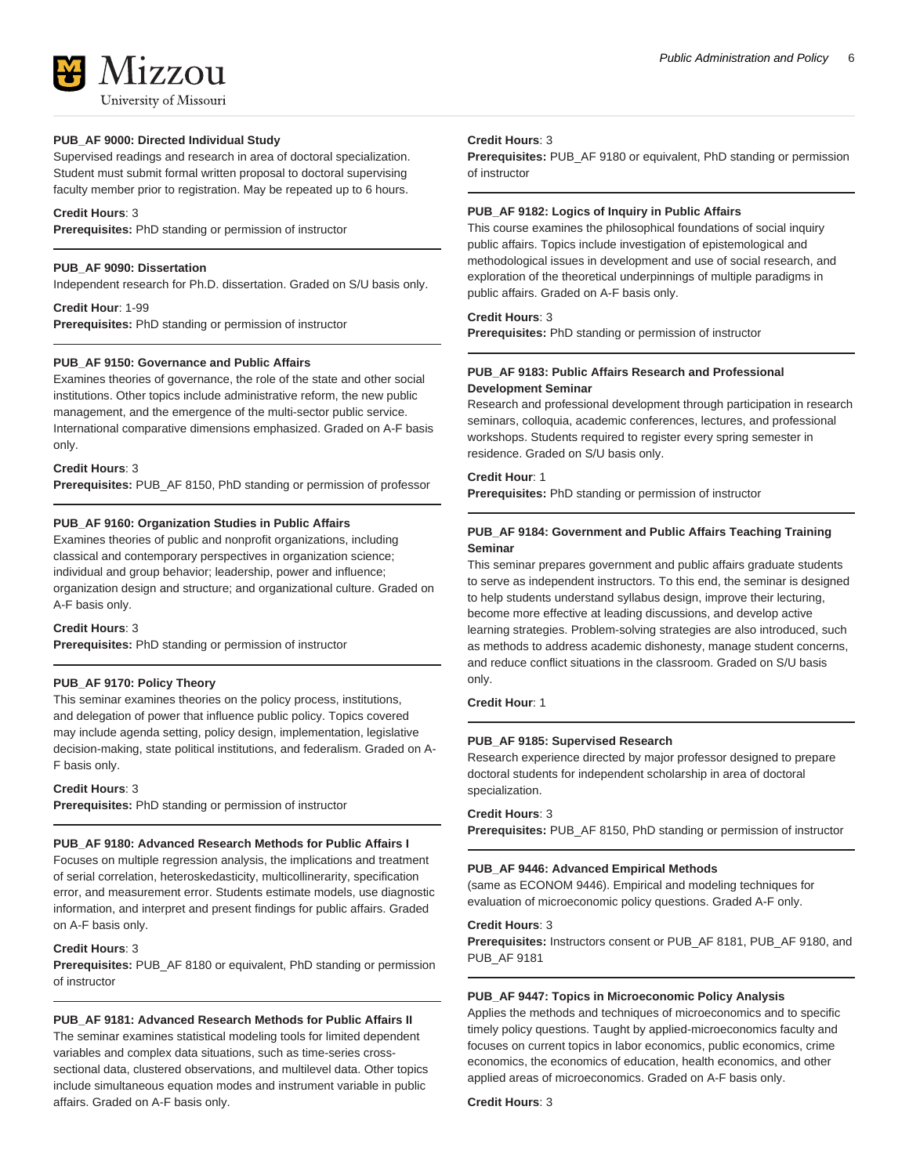#### **PUB\_AF 9000: Directed Individual Study**

Supervised readings and research in area of doctoral specialization. Student must submit formal written proposal to doctoral supervising faculty member prior to registration. May be repeated up to 6 hours.

#### **Credit Hours**: 3

**Prerequisites:** PhD standing or permission of instructor

#### **PUB\_AF 9090: Dissertation**

Independent research for Ph.D. dissertation. Graded on S/U basis only.

**Credit Hour**: 1-99 **Prerequisites:** PhD standing or permission of instructor

#### **PUB\_AF 9150: Governance and Public Affairs**

Examines theories of governance, the role of the state and other social institutions. Other topics include administrative reform, the new public management, and the emergence of the multi-sector public service. International comparative dimensions emphasized. Graded on A-F basis only.

#### **Credit Hours**: 3

**Prerequisites:** PUB\_AF 8150, PhD standing or permission of professor

#### **PUB\_AF 9160: Organization Studies in Public Affairs**

Examines theories of public and nonprofit organizations, including classical and contemporary perspectives in organization science; individual and group behavior; leadership, power and influence; organization design and structure; and organizational culture. Graded on A-F basis only.

#### **Credit Hours**: 3

**Prerequisites:** PhD standing or permission of instructor

#### **PUB\_AF 9170: Policy Theory**

This seminar examines theories on the policy process, institutions, and delegation of power that influence public policy. Topics covered may include agenda setting, policy design, implementation, legislative decision-making, state political institutions, and federalism. Graded on A-F basis only.

#### **Credit Hours**: 3

**Prerequisites:** PhD standing or permission of instructor

#### **PUB\_AF 9180: Advanced Research Methods for Public Affairs I**

Focuses on multiple regression analysis, the implications and treatment of serial correlation, heteroskedasticity, multicollinerarity, specification error, and measurement error. Students estimate models, use diagnostic information, and interpret and present findings for public affairs. Graded on A-F basis only.

#### **Credit Hours**: 3

**Prerequisites:** PUB\_AF 8180 or equivalent, PhD standing or permission of instructor

#### **PUB\_AF 9181: Advanced Research Methods for Public Affairs II**

The seminar examines statistical modeling tools for limited dependent variables and complex data situations, such as time-series crosssectional data, clustered observations, and multilevel data. Other topics include simultaneous equation modes and instrument variable in public affairs. Graded on A-F basis only.

#### **Credit Hours**: 3

**Prerequisites:** PUB\_AF 9180 or equivalent, PhD standing or permission of instructor

#### **PUB\_AF 9182: Logics of Inquiry in Public Affairs**

This course examines the philosophical foundations of social inquiry public affairs. Topics include investigation of epistemological and methodological issues in development and use of social research, and exploration of the theoretical underpinnings of multiple paradigms in public affairs. Graded on A-F basis only.

#### **Credit Hours**: 3

**Prerequisites:** PhD standing or permission of instructor

#### **PUB\_AF 9183: Public Affairs Research and Professional Development Seminar**

Research and professional development through participation in research seminars, colloquia, academic conferences, lectures, and professional workshops. Students required to register every spring semester in residence. Graded on S/U basis only.

#### **Credit Hour**: 1

**Prerequisites:** PhD standing or permission of instructor

#### **PUB\_AF 9184: Government and Public Affairs Teaching Training Seminar**

This seminar prepares government and public affairs graduate students to serve as independent instructors. To this end, the seminar is designed to help students understand syllabus design, improve their lecturing, become more effective at leading discussions, and develop active learning strategies. Problem-solving strategies are also introduced, such as methods to address academic dishonesty, manage student concerns, and reduce conflict situations in the classroom. Graded on S/U basis only.

#### **Credit Hour**: 1

#### **PUB\_AF 9185: Supervised Research**

Research experience directed by major professor designed to prepare doctoral students for independent scholarship in area of doctoral specialization.

#### **Credit Hours**: 3

**Prerequisites:** PUB\_AF 8150, PhD standing or permission of instructor

#### **PUB\_AF 9446: Advanced Empirical Methods**

(same as ECONOM 9446). Empirical and modeling techniques for evaluation of microeconomic policy questions. Graded A-F only.

#### **Credit Hours**: 3

**Prerequisites:** Instructors consent or PUB\_AF 8181, PUB\_AF 9180, and PUB\_AF 9181

#### **PUB\_AF 9447: Topics in Microeconomic Policy Analysis**

Applies the methods and techniques of microeconomics and to specific timely policy questions. Taught by applied-microeconomics faculty and focuses on current topics in labor economics, public economics, crime economics, the economics of education, health economics, and other applied areas of microeconomics. Graded on A-F basis only.